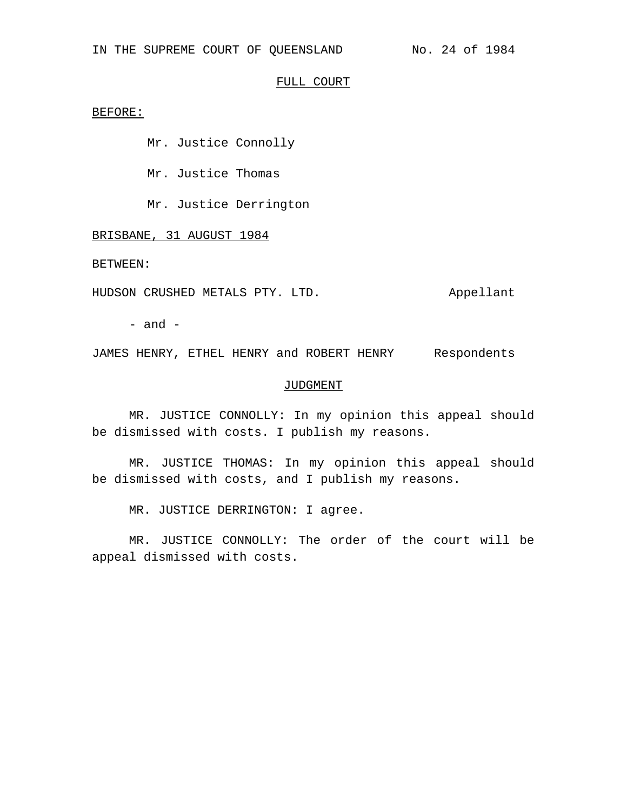# FULL COURT

BEFORE:

Mr. Justice Connolly

Mr. Justice Thomas

Mr. Justice Derrington

BRISBANE, 31 AUGUST 1984

BETWEEN:

HUDSON CRUSHED METALS PTY. LTD. Appellant

 $-$  and  $-$ 

JAMES HENRY, ETHEL HENRY and ROBERT HENRY Respondents

### JUDGMENT

MR. JUSTICE CONNOLLY: In my opinion this appeal should be dismissed with costs. I publish my reasons.

MR. JUSTICE THOMAS: In my opinion this appeal should be dismissed with costs, and I publish my reasons.

MR. JUSTICE DERRINGTON: I agree.

MR. JUSTICE CONNOLLY: The order of the court will be appeal dismissed with costs.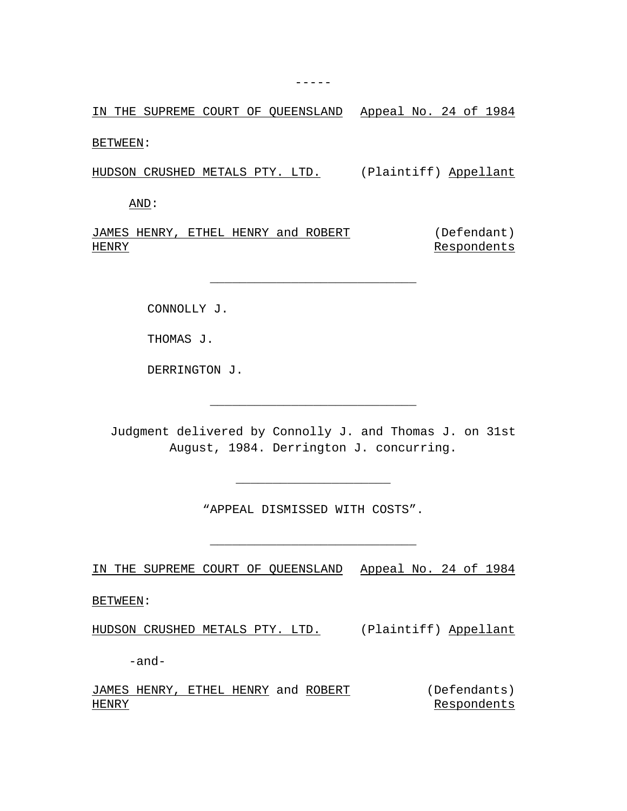IN THE SUPREME COURT OF QUEENSLAND Appeal No. 24 of 1984

BETWEEN:

HUDSON CRUSHED METALS PTY. LTD. (Plaintiff) Appellant

AND:

JAMES HENRY, ETHEL HENRY and ROBERT HENRY (Defendant) Respondents

\_\_\_\_\_\_\_\_\_\_\_\_\_\_\_\_\_\_\_\_\_\_\_\_\_\_\_\_

CONNOLLY J.

THOMAS J.

DERRINGTON J.

Judgment delivered by Connolly J. and Thomas J. on 31st August, 1984. Derrington J. concurring.

\_\_\_\_\_\_\_\_\_\_\_\_\_\_\_\_\_\_\_\_\_\_\_\_\_\_\_\_

"APPEAL DISMISSED WITH COSTS".

\_\_\_\_\_\_\_\_\_\_\_\_\_\_\_\_\_\_\_\_\_\_\_\_\_\_\_\_

\_\_\_\_\_\_\_\_\_\_\_\_\_\_\_\_\_\_\_\_\_

IN THE SUPREME COURT OF QUEENSLAND Appeal No. 24 of 1984

BETWEEN:

HUDSON CRUSHED METALS PTY. LTD. (Plaintiff) Appellant

-and-

JAMES HENRY, ETHEL HENRY and ROBERT (Defendants) HENRY Respondents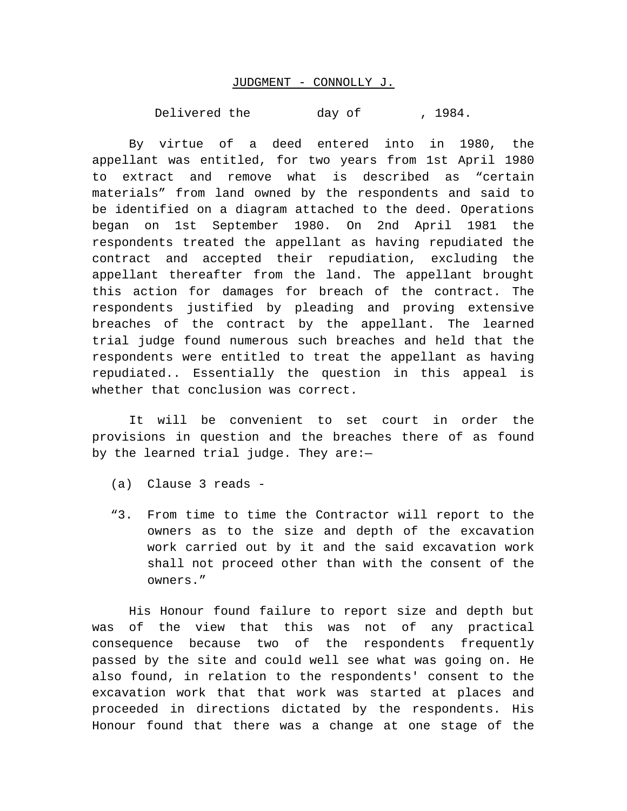## JUDGMENT - CONNOLLY J.

Delivered the day of , 1984.

By virtue of a deed entered into in 1980, the appellant was entitled, for two years from 1st April 1980 to extract and remove what is described as "certain materials" from land owned by the respondents and said to be identified on a diagram attached to the deed. Operations began on 1st September 1980. On 2nd April 1981 the respondents treated the appellant as having repudiated the contract and accepted their repudiation, excluding the appellant thereafter from the land. The appellant brought this action for damages for breach of the contract. The respondents justified by pleading and proving extensive breaches of the contract by the appellant. The learned trial judge found numerous such breaches and held that the respondents were entitled to treat the appellant as having repudiated.. Essentially the question in this appeal is whether that conclusion was correct.

It will be convenient to set court in order the provisions in question and the breaches there of as found by the learned trial judge. They are:—

- (a) Clause 3 reads -
- "3. From time to time the Contractor will report to the owners as to the size and depth of the excavation work carried out by it and the said excavation work shall not proceed other than with the consent of the owners."

His Honour found failure to report size and depth but was of the view that this was not of any practical consequence because two of the respondents frequently passed by the site and could well see what was going on. He also found, in relation to the respondents' consent to the excavation work that that work was started at places and proceeded in directions dictated by the respondents. His Honour found that there was a change at one stage of the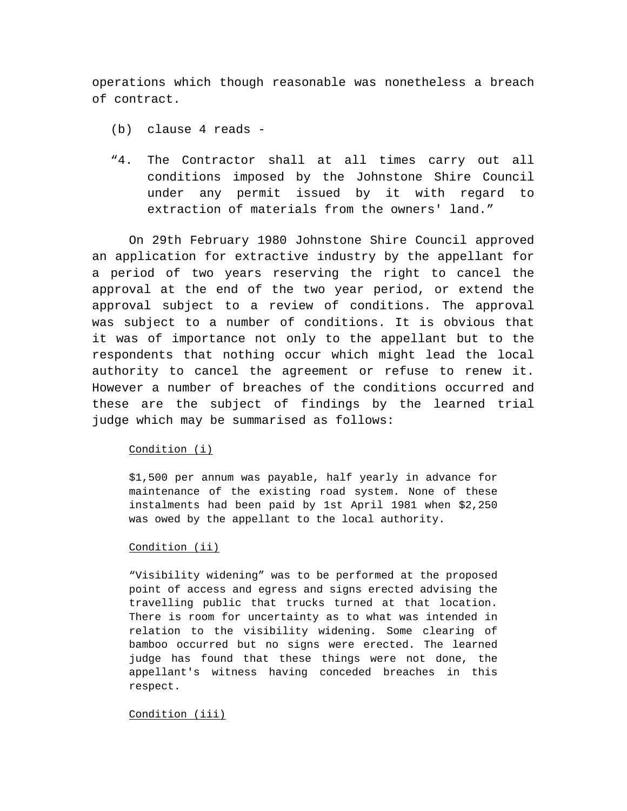operations which though reasonable was nonetheless a breach of contract.

- (b) clause 4 reads -
- "4. The Contractor shall at all times carry out all conditions imposed by the Johnstone Shire Council under any permit issued by it with regard to extraction of materials from the owners' land."

On 29th February 1980 Johnstone Shire Council approved an application for extractive industry by the appellant for a period of two years reserving the right to cancel the approval at the end of the two year period, or extend the approval subject to a review of conditions. The approval was subject to a number of conditions. It is obvious that it was of importance not only to the appellant but to the respondents that nothing occur which might lead the local authority to cancel the agreement or refuse to renew it. However a number of breaches of the conditions occurred and these are the subject of findings by the learned trial judge which may be summarised as follows:

# Condition (i)

\$1,500 per annum was payable, half yearly in advance for maintenance of the existing road system. None of these instalments had been paid by 1st April 1981 when \$2,250 was owed by the appellant to the local authority.

# Condition (ii)

"Visibility widening" was to be performed at the proposed point of access and egress and signs erected advising the travelling public that trucks turned at that location. There is room for uncertainty as to what was intended in relation to the visibility widening. Some clearing of bamboo occurred but no signs were erected. The learned judge has found that these things were not done, the appellant's witness having conceded breaches in this respect.

### Condition (iii)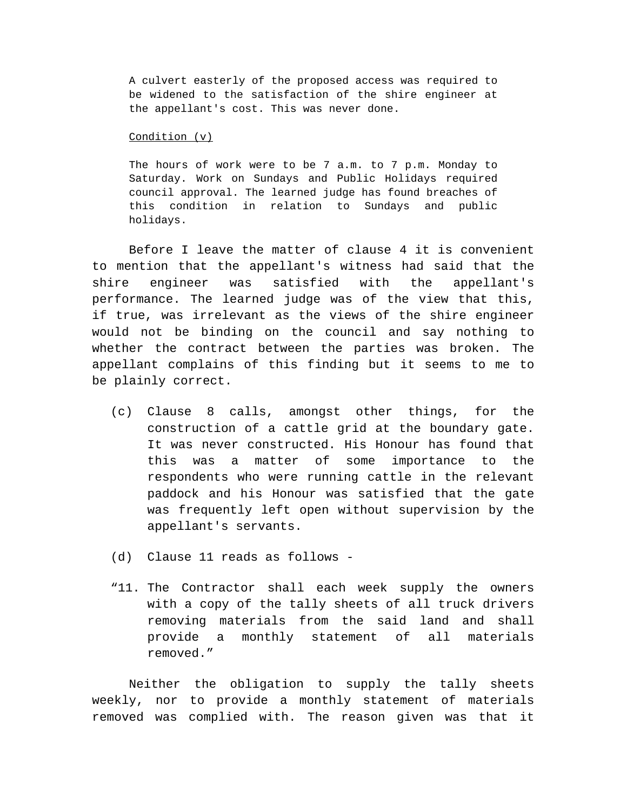A culvert easterly of the proposed access was required to be widened to the satisfaction of the shire engineer at the appellant's cost. This was never done.

#### Condition (v)

The hours of work were to be 7 a.m. to 7 p.m. Monday to Saturday. Work on Sundays and Public Holidays required council approval. The learned judge has found breaches of this condition in relation to Sundays and public holidays.

Before I leave the matter of clause 4 it is convenient to mention that the appellant's witness had said that the shire engineer was satisfied with the appellant's performance. The learned judge was of the view that this, if true, was irrelevant as the views of the shire engineer would not be binding on the council and say nothing to whether the contract between the parties was broken. The appellant complains of this finding but it seems to me to be plainly correct.

- (c) Clause 8 calls, amongst other things, for the construction of a cattle grid at the boundary gate. It was never constructed. His Honour has found that this was a matter of some importance to the respondents who were running cattle in the relevant paddock and his Honour was satisfied that the gate was frequently left open without supervision by the appellant's servants.
- (d) Clause 11 reads as follows -
- "11. The Contractor shall each week supply the owners with a copy of the tally sheets of all truck drivers removing materials from the said land and shall provide a monthly statement of all materials removed."

Neither the obligation to supply the tally sheets weekly, nor to provide a monthly statement of materials removed was complied with. The reason given was that it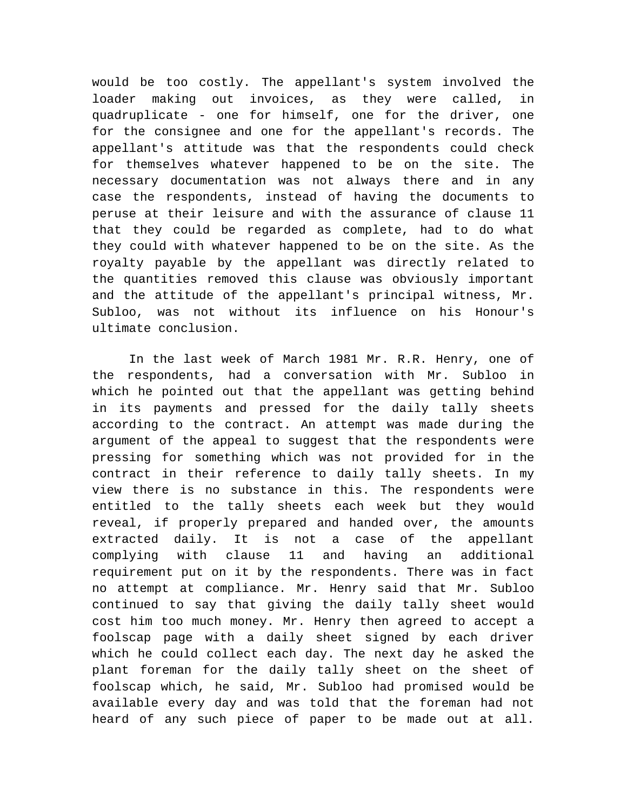would be too costly. The appellant's system involved the loader making out invoices, as they were called, in quadruplicate - one for himself, one for the driver, one for the consignee and one for the appellant's records. The appellant's attitude was that the respondents could check for themselves whatever happened to be on the site. The necessary documentation was not always there and in any case the respondents, instead of having the documents to peruse at their leisure and with the assurance of clause 11 that they could be regarded as complete, had to do what they could with whatever happened to be on the site. As the royalty payable by the appellant was directly related to the quantities removed this clause was obviously important and the attitude of the appellant's principal witness, Mr. Subloo, was not without its influence on his Honour's ultimate conclusion.

In the last week of March 1981 Mr. R.R. Henry, one of the respondents, had a conversation with Mr. Subloo in which he pointed out that the appellant was getting behind in its payments and pressed for the daily tally sheets according to the contract. An attempt was made during the argument of the appeal to suggest that the respondents were pressing for something which was not provided for in the contract in their reference to daily tally sheets. In my view there is no substance in this. The respondents were entitled to the tally sheets each week but they would reveal, if properly prepared and handed over, the amounts extracted daily. It is not a case of the appellant complying with clause 11 and having an additional requirement put on it by the respondents. There was in fact no attempt at compliance. Mr. Henry said that Mr. Subloo continued to say that giving the daily tally sheet would cost him too much money. Mr. Henry then agreed to accept a foolscap page with a daily sheet signed by each driver which he could collect each day. The next day he asked the plant foreman for the daily tally sheet on the sheet of foolscap which, he said, Mr. Subloo had promised would be available every day and was told that the foreman had not heard of any such piece of paper to be made out at all.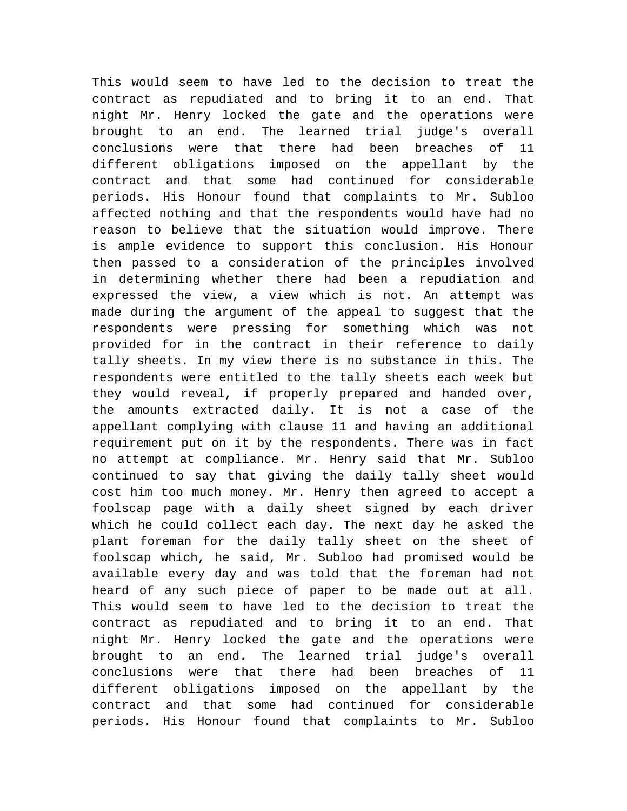This would seem to have led to the decision to treat the contract as repudiated and to bring it to an end. That night Mr. Henry locked the gate and the operations were brought to an end. The learned trial judge's overall conclusions were that there had been breaches of 11 different obligations imposed on the appellant by the contract and that some had continued for considerable periods. His Honour found that complaints to Mr. Subloo affected nothing and that the respondents would have had no reason to believe that the situation would improve. There is ample evidence to support this conclusion. His Honour then passed to a consideration of the principles involved in determining whether there had been a repudiation and expressed the view, a view which is not. An attempt was made during the argument of the appeal to suggest that the respondents were pressing for something which was not provided for in the contract in their reference to daily tally sheets. In my view there is no substance in this. The respondents were entitled to the tally sheets each week but they would reveal, if properly prepared and handed over, the amounts extracted daily. It is not a case of the appellant complying with clause 11 and having an additional requirement put on it by the respondents. There was in fact no attempt at compliance. Mr. Henry said that Mr. Subloo continued to say that giving the daily tally sheet would cost him too much money. Mr. Henry then agreed to accept a foolscap page with a daily sheet signed by each driver which he could collect each day. The next day he asked the plant foreman for the daily tally sheet on the sheet of foolscap which, he said, Mr. Subloo had promised would be available every day and was told that the foreman had not heard of any such piece of paper to be made out at all. This would seem to have led to the decision to treat the contract as repudiated and to bring it to an end. That night Mr. Henry locked the gate and the operations were brought to an end. The learned trial judge's overall conclusions were that there had been breaches of 11 different obligations imposed on the appellant by the contract and that some had continued for considerable periods. His Honour found that complaints to Mr. Subloo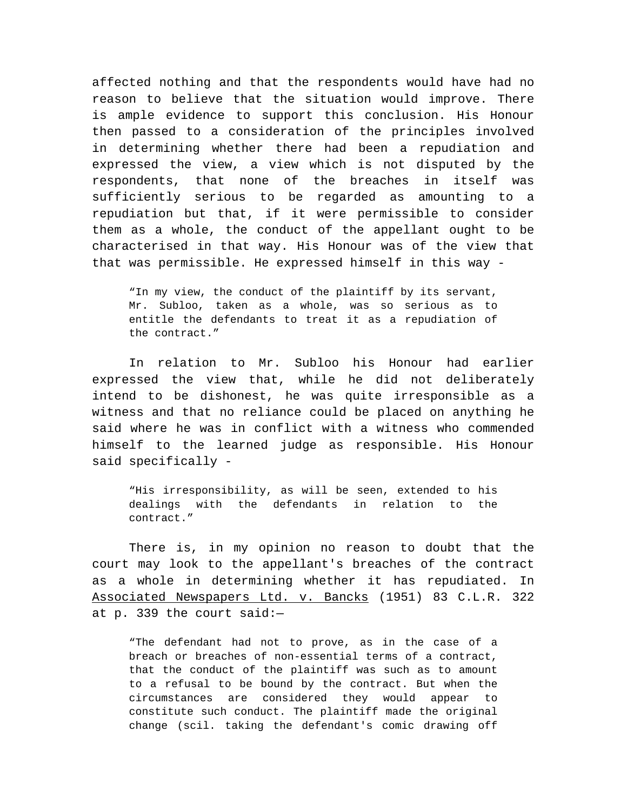affected nothing and that the respondents would have had no reason to believe that the situation would improve. There is ample evidence to support this conclusion. His Honour then passed to a consideration of the principles involved in determining whether there had been a repudiation and expressed the view, a view which is not disputed by the respondents, that none of the breaches in itself was sufficiently serious to be regarded as amounting to a repudiation but that, if it were permissible to consider them as a whole, the conduct of the appellant ought to be characterised in that way. His Honour was of the view that that was permissible. He expressed himself in this way -

"In my view, the conduct of the plaintiff by its servant, Mr. Subloo, taken as a whole, was so serious as to entitle the defendants to treat it as a repudiation of the contract."

In relation to Mr. Subloo his Honour had earlier expressed the view that, while he did not deliberately intend to be dishonest, he was quite irresponsible as a witness and that no reliance could be placed on anything he said where he was in conflict with a witness who commended himself to the learned judge as responsible. His Honour said specifically -

"His irresponsibility, as will be seen, extended to his dealings with the defendants in relation to the contract."

There is, in my opinion no reason to doubt that the court may look to the appellant's breaches of the contract as a whole in determining whether it has repudiated. In Associated Newspapers Ltd. v. Bancks (1951) 83 C.L.R. 322 at p. 339 the court said:—

"The defendant had not to prove, as in the case of a breach or breaches of non-essential terms of a contract, that the conduct of the plaintiff was such as to amount to a refusal to be bound by the contract. But when the circumstances are considered they would appear to constitute such conduct. The plaintiff made the original change (scil. taking the defendant's comic drawing off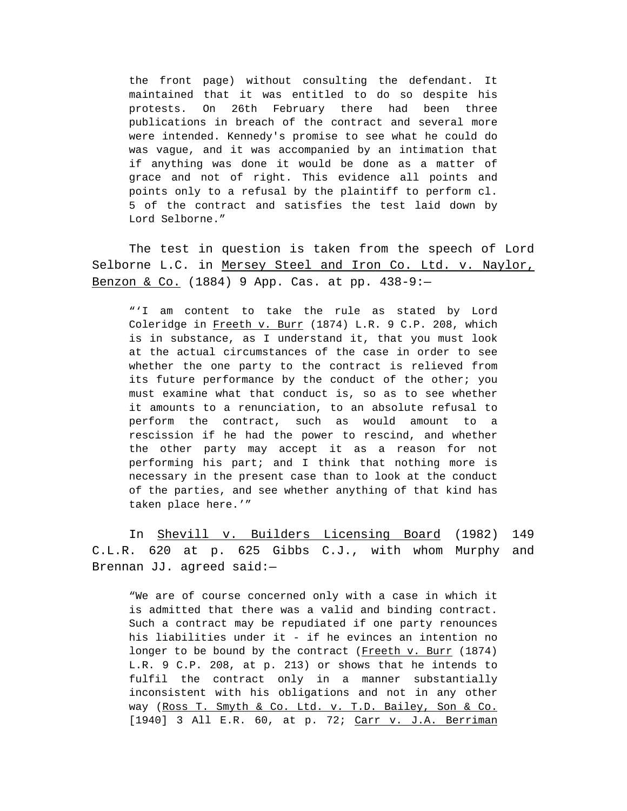the front page) without consulting the defendant. It maintained that it was entitled to do so despite his protests. On 26th February there had been three publications in breach of the contract and several more were intended. Kennedy's promise to see what he could do was vague, and it was accompanied by an intimation that if anything was done it would be done as a matter of grace and not of right. This evidence all points and points only to a refusal by the plaintiff to perform cl. 5 of the contract and satisfies the test laid down by Lord Selborne."

The test in question is taken from the speech of Lord Selborne L.C. in Mersey Steel and Iron Co. Ltd. v. Naylor, Benzon & Co. (1884) 9 App. Cas. at pp. 438-9:—

"'I am content to take the rule as stated by Lord Coleridge in Freeth v. Burr (1874) L.R. 9 C.P. 208, which is in substance, as I understand it, that you must look at the actual circumstances of the case in order to see whether the one party to the contract is relieved from its future performance by the conduct of the other; you must examine what that conduct is, so as to see whether it amounts to a renunciation, to an absolute refusal to perform the contract, such as would amount to a rescission if he had the power to rescind, and whether the other party may accept it as a reason for not performing his part; and I think that nothing more is necessary in the present case than to look at the conduct of the parties, and see whether anything of that kind has taken place here.'"

In Shevill v. Builders Licensing Board (1982) 149 C.L.R. 620 at p. 625 Gibbs C.J., with whom Murphy and Brennan JJ. agreed said:—

"We are of course concerned only with a case in which it is admitted that there was a valid and binding contract. Such a contract may be repudiated if one party renounces his liabilities under it - if he evinces an intention no longer to be bound by the contract (Freeth v. Burr (1874) L.R. 9 C.P. 208, at p. 213) or shows that he intends to fulfil the contract only in a manner substantially inconsistent with his obligations and not in any other way (Ross T. Smyth & Co. Ltd. v. T.D. Bailey, Son & Co. [1940] 3 All E.R. 60, at p. 72; Carr v. J.A. Berriman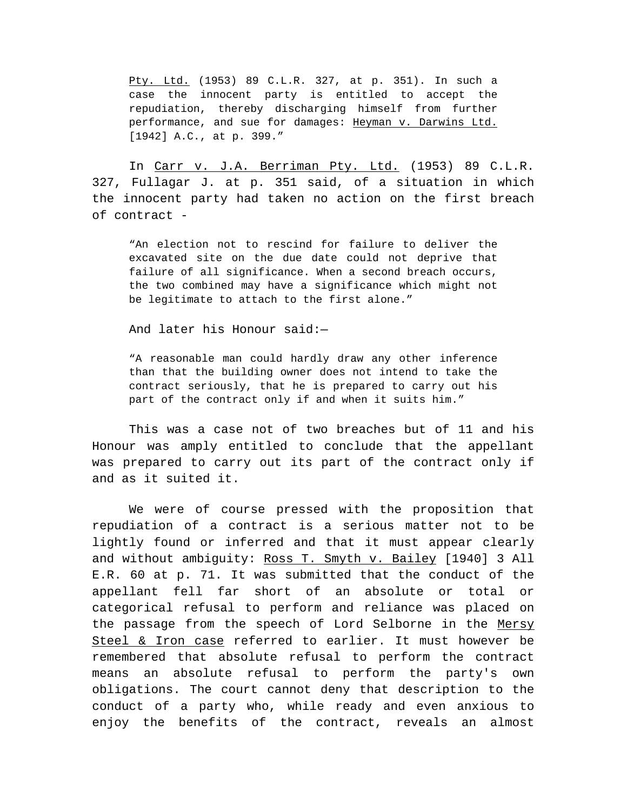Pty. Ltd. (1953) 89 C.L.R. 327, at p. 351). In such a case the innocent party is entitled to accept the repudiation, thereby discharging himself from further performance, and sue for damages: Heyman v. Darwins Ltd. [1942] A.C., at p. 399."

In Carr v. J.A. Berriman Pty. Ltd. (1953) 89 C.L.R. 327, Fullagar J. at p. 351 said, of a situation in which the innocent party had taken no action on the first breach of contract -

"An election not to rescind for failure to deliver the excavated site on the due date could not deprive that failure of all significance. When a second breach occurs, the two combined may have a significance which might not be legitimate to attach to the first alone."

And later his Honour said:—

"A reasonable man could hardly draw any other inference than that the building owner does not intend to take the contract seriously, that he is prepared to carry out his part of the contract only if and when it suits him."

This was a case not of two breaches but of 11 and his Honour was amply entitled to conclude that the appellant was prepared to carry out its part of the contract only if and as it suited it.

We were of course pressed with the proposition that repudiation of a contract is a serious matter not to be lightly found or inferred and that it must appear clearly and without ambiguity: Ross T. Smyth v. Bailey [1940] 3 All E.R. 60 at p. 71. It was submitted that the conduct of the appellant fell far short of an absolute or total or categorical refusal to perform and reliance was placed on the passage from the speech of Lord Selborne in the Mersy Steel & Iron case referred to earlier. It must however be remembered that absolute refusal to perform the contract means an absolute refusal to perform the party's own obligations. The court cannot deny that description to the conduct of a party who, while ready and even anxious to enjoy the benefits of the contract, reveals an almost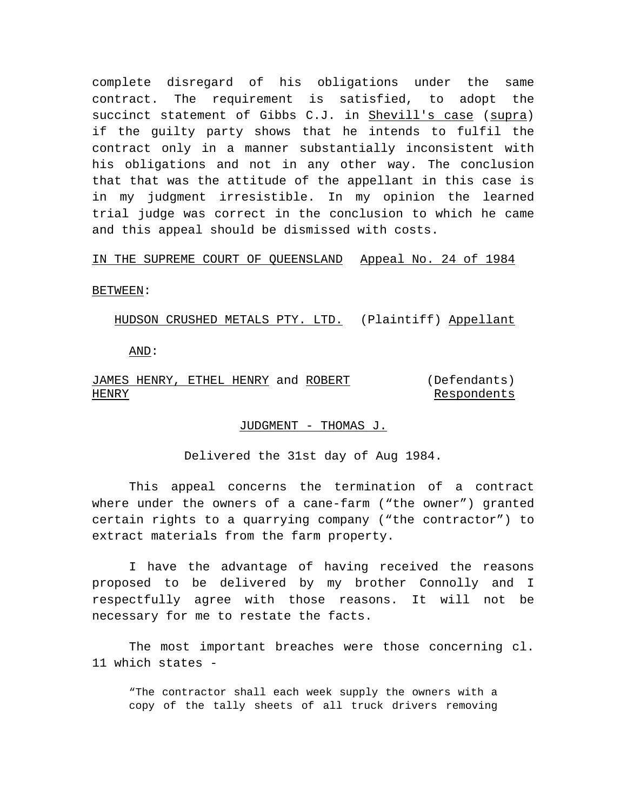complete disregard of his obligations under the same contract. The requirement is satisfied, to adopt the succinct statement of Gibbs C.J. in Shevill's case (supra) if the guilty party shows that he intends to fulfil the contract only in a manner substantially inconsistent with his obligations and not in any other way. The conclusion that that was the attitude of the appellant in this case is in my judgment irresistible. In my opinion the learned trial judge was correct in the conclusion to which he came and this appeal should be dismissed with costs.

## IN THE SUPREME COURT OF QUEENSLAND Appeal No. 24 of 1984

BETWEEN:

HUDSON CRUSHED METALS PTY. LTD. (Plaintiff) Appellant

AND:

#### JAMES HENRY, ETHEL HENRY and ROBERT HENRY (Defendants) Respondents

# JUDGMENT - THOMAS J.

Delivered the 31st day of Aug 1984.

This appeal concerns the termination of a contract where under the owners of a cane-farm ("the owner") granted certain rights to a quarrying company ("the contractor") to extract materials from the farm property.

I have the advantage of having received the reasons proposed to be delivered by my brother Connolly and I respectfully agree with those reasons. It will not be necessary for me to restate the facts.

The most important breaches were those concerning cl. 11 which states -

"The contractor shall each week supply the owners with a copy of the tally sheets of all truck drivers removing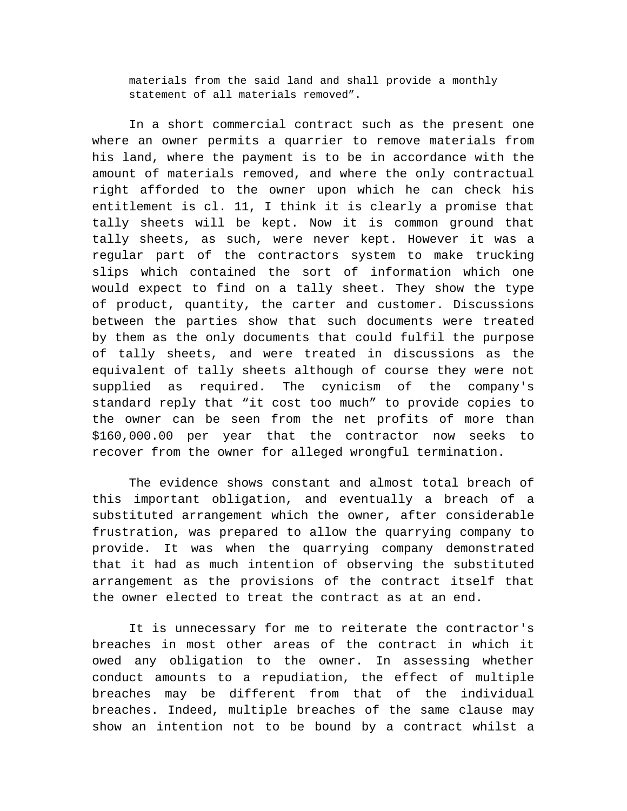materials from the said land and shall provide a monthly statement of all materials removed".

In a short commercial contract such as the present one where an owner permits a quarrier to remove materials from his land, where the payment is to be in accordance with the amount of materials removed, and where the only contractual right afforded to the owner upon which he can check his entitlement is cl. 11, I think it is clearly a promise that tally sheets will be kept. Now it is common ground that tally sheets, as such, were never kept. However it was a regular part of the contractors system to make trucking slips which contained the sort of information which one would expect to find on a tally sheet. They show the type of product, quantity, the carter and customer. Discussions between the parties show that such documents were treated by them as the only documents that could fulfil the purpose of tally sheets, and were treated in discussions as the equivalent of tally sheets although of course they were not supplied as required. The cynicism of the company's standard reply that "it cost too much" to provide copies to the owner can be seen from the net profits of more than \$160,000.00 per year that the contractor now seeks to recover from the owner for alleged wrongful termination.

The evidence shows constant and almost total breach of this important obligation, and eventually a breach of a substituted arrangement which the owner, after considerable frustration, was prepared to allow the quarrying company to provide. It was when the quarrying company demonstrated that it had as much intention of observing the substituted arrangement as the provisions of the contract itself that the owner elected to treat the contract as at an end.

It is unnecessary for me to reiterate the contractor's breaches in most other areas of the contract in which it owed any obligation to the owner. In assessing whether conduct amounts to a repudiation, the effect of multiple breaches may be different from that of the individual breaches. Indeed, multiple breaches of the same clause may show an intention not to be bound by a contract whilst a